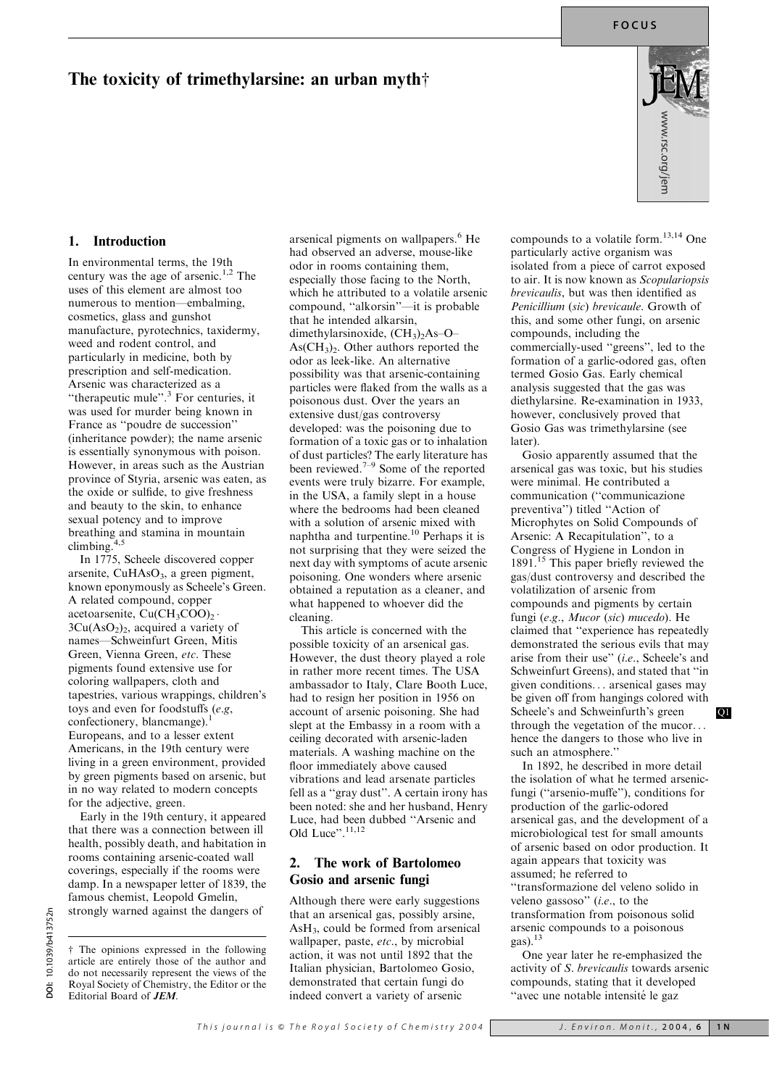## The toxicity of trimethylarsine: an urban myth $\dagger$



#### 1. Introduction

In environmental terms, the 19th century was the age of arsenic.<sup>1,2</sup> The uses of this element are almost too numerous to mention—embalming, cosmetics, glass and gunshot manufacture, pyrotechnics, taxidermy, weed and rodent control, and particularly in medicine, both by prescription and self-medication. Arsenic was characterized as a ''therapeutic mule''.<sup>3</sup> For centuries, it was used for murder being known in France as ''poudre de succession'' (inheritance powder); the name arsenic is essentially synonymous with poison. However, in areas such as the Austrian province of Styria, arsenic was eaten, as the oxide or sulfide, to give freshness and beauty to the skin, to enhance sexual potency and to improve breathing and stamina in mountain climbing.

In 1775, Scheele discovered copper arsenite,  $CuHAsO<sub>3</sub>$ , a green pigment, known eponymously as Scheele's Green. A related compound, copper acetoarsenite,  $Cu(CH_3COO)$ .  $3Cu(AsO<sub>2</sub>)<sub>2</sub>$ , acquired a variety of names—Schweinfurt Green, Mitis Green, Vienna Green, etc. These pigments found extensive use for coloring wallpapers, cloth and tapestries, various wrappings, children's toys and even for foodstuffs (e.g, confectionery, blancmange).<sup>1</sup> Europeans, and to a lesser extent Americans, in the 19th century were living in a green environment, provided by green pigments based on arsenic, but in no way related to modern concepts for the adjective, green.

Early in the 19th century, it appeared that there was a connection between ill health, possibly death, and habitation in rooms containing arsenic-coated wall coverings, especially if the rooms were damp. In a newspaper letter of 1839, the famous chemist, Leopold Gmelin, strongly warned against the dangers of

 $\dagger$  The opinions expressed in the following article are entirely those of the author and do not necessarily represent the views of the Royal Society of Chemistry, the Editor or the Editorial Board of JEM.

arsenical pigments on wallpapers.<sup>6</sup> He had observed an adverse, mouse-like odor in rooms containing them, especially those facing to the North, which he attributed to a volatile arsenic compound, ''alkorsin''—it is probable that he intended alkarsin, dimethylarsinoxide,  $(CH<sub>3</sub>)<sub>2</sub>As-O As(CH<sub>3</sub>)<sub>2</sub>$ . Other authors reported the odor as leek-like. An alternative possibility was that arsenic-containing particles were flaked from the walls as a poisonous dust. Over the years an extensive dust/gas controversy developed: was the poisoning due to formation of a toxic gas or to inhalation of dust particles? The early literature has been reviewed. $7-9$  Some of the reported events were truly bizarre. For example, in the USA, a family slept in a house where the bedrooms had been cleaned with a solution of arsenic mixed with naphtha and turpentine.10 Perhaps it is not surprising that they were seized the next day with symptoms of acute arsenic poisoning. One wonders where arsenic obtained a reputation as a cleaner, and what happened to whoever did the cleaning.

This article is concerned with the possible toxicity of an arsenical gas. However, the dust theory played a role in rather more recent times. The USA ambassador to Italy, Clare Booth Luce, had to resign her position in 1956 on account of arsenic poisoning. She had slept at the Embassy in a room with a ceiling decorated with arsenic-laden materials. A washing machine on the floor immediately above caused vibrations and lead arsenate particles fell as a ''gray dust''. A certain irony has been noted: she and her husband, Henry Luce, had been dubbed ''Arsenic and Old Luce".<sup>11,12</sup>

#### 2. The work of Bartolomeo Gosio and arsenic fungi

Although there were early suggestions that an arsenical gas, possibly arsine, AsH3, could be formed from arsenical wallpaper, paste, etc., by microbial action, it was not until 1892 that the Italian physician, Bartolomeo Gosio, demonstrated that certain fungi do indeed convert a variety of arsenic

compounds to a volatile form. $13,14$  One particularly active organism was isolated from a piece of carrot exposed to air. It is now known as Scopulariopsis brevicaulis, but was then identified as Penicillium (sic) brevicaule. Growth of this, and some other fungi, on arsenic compounds, including the commercially-used ''greens'', led to the formation of a garlic-odored gas, often termed Gosio Gas. Early chemical analysis suggested that the gas was diethylarsine. Re-examination in 1933, however, conclusively proved that Gosio Gas was trimethylarsine (see later).

Gosio apparently assumed that the arsenical gas was toxic, but his studies were minimal. He contributed a communication (''communicazione preventiva'') titled ''Action of Microphytes on Solid Compounds of Arsenic: A Recapitulation'', to a Congress of Hygiene in London in 1891.<sup>15</sup> This paper briefly reviewed the gas/dust controversy and described the volatilization of arsenic from compounds and pigments by certain fungi (e.g., Mucor (sic) mucedo). He claimed that ''experience has repeatedly demonstrated the serious evils that may arise from their use'' (i.e., Scheele's and Schweinfurt Greens), and stated that ''in given conditions... arsenical gases may be given off from hangings colored with Scheele's and Schweinfurth's green Q1 through the vegetation of the mucor... hence the dangers to those who live in such an atmosphere."

In 1892, he described in more detail the isolation of what he termed arsenicfungi (''arsenio-muffe''), conditions for production of the garlic-odored arsenical gas, and the development of a microbiological test for small amounts of arsenic based on odor production. It again appears that toxicity was assumed; he referred to ''transformazione del veleno solido in veleno gassoso'' (i.e., to the transformation from poisonous solid arsenic compounds to a poisonous gas).<sup>13</sup>

One year later he re-emphasized the activity of S. brevicaulis towards arsenic compounds, stating that it developed "avec une notable intensité le gaz

<sup>10.1039/</sup>b413752n DOI: 10.1039/b413752n ğ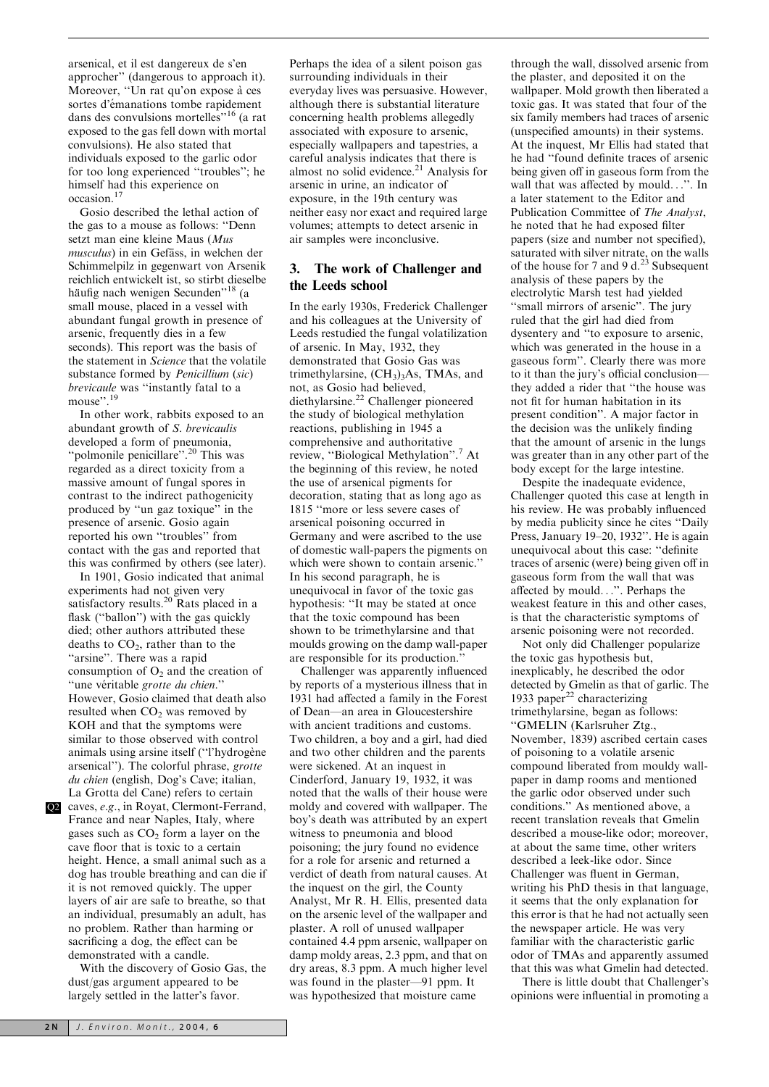arsenical, et il est dangereux de s'en approcher'' (dangerous to approach it). Moreover, "Un rat qu'on expose à ces sortes d'émanations tombe rapidement dans des convulsions mortelles''<sup>16</sup> (a rat exposed to the gas fell down with mortal convulsions). He also stated that individuals exposed to the garlic odor for too long experienced ''troubles''; he himself had this experience on occasion.<sup>17</sup>

Gosio described the lethal action of the gas to a mouse as follows: ''Denn setzt man eine kleine Maus (Mus musculus) in ein Gefäss, in welchen der Schimmelpilz in gegenwart von Arsenik reichlich entwickelt ist, so stirbt dieselbe häufig nach wenigen Secunden"<sup>18</sup> (a small mouse, placed in a vessel with abundant fungal growth in presence of arsenic, frequently dies in a few seconds). This report was the basis of the statement in Science that the volatile substance formed by Penicillium (sic) brevicaule was ''instantly fatal to a mouse".<sup>19</sup>

In other work, rabbits exposed to an abundant growth of S. brevicaulis developed a form of pneumonia, ''polmonile penicillare''.<sup>20</sup> This was regarded as a direct toxicity from a massive amount of fungal spores in contrast to the indirect pathogenicity produced by ''un gaz toxique'' in the presence of arsenic. Gosio again reported his own ''troubles'' from contact with the gas and reported that this was confirmed by others (see later).

In 1901, Gosio indicated that animal experiments had not given very satisfactory results.<sup>20</sup> Rats placed in a flask ("ballon") with the gas quickly died; other authors attributed these deaths to  $CO<sub>2</sub>$ , rather than to the "arsine". There was a rapid consumption of  $O_2$  and the creation of "une véritable grotte du chien." However, Gosio claimed that death also resulted when  $CO<sub>2</sub>$  was removed by KOH and that the symptoms were similar to those observed with control animals using arsine itself ("l'hydrogène" arsenical''). The colorful phrase, grotte du chien (english, Dog's Cave; italian, La Grotta del Cane) refers to certain

Q2 caves, e.g., in Royat, Clermont-Ferrand, France and near Naples, Italy, where gases such as  $CO<sub>2</sub>$  form a layer on the cave floor that is toxic to a certain height. Hence, a small animal such as a dog has trouble breathing and can die if it is not removed quickly. The upper layers of air are safe to breathe, so that an individual, presumably an adult, has no problem. Rather than harming or sacrificing a dog, the effect can be demonstrated with a candle.

With the discovery of Gosio Gas, the dust/gas argument appeared to be largely settled in the latter's favor.

Perhaps the idea of a silent poison gas surrounding individuals in their everyday lives was persuasive. However, although there is substantial literature concerning health problems allegedly associated with exposure to arsenic, especially wallpapers and tapestries, a careful analysis indicates that there is almost no solid evidence.<sup>21</sup> Analysis for arsenic in urine, an indicator of exposure, in the 19th century was neither easy nor exact and required large volumes; attempts to detect arsenic in air samples were inconclusive.

### 3. The work of Challenger and the Leeds school

In the early 1930s, Frederick Challenger and his colleagues at the University of Leeds restudied the fungal volatilization of arsenic. In May, 1932, they demonstrated that Gosio Gas was trimethylarsine,  $(CH<sub>3</sub>)<sub>3</sub>As$ , TMAs, and not, as Gosio had believed, diethylarsine.<sup>22</sup> Challenger pioneered the study of biological methylation reactions, publishing in 1945 a comprehensive and authoritative review, ''Biological Methylation''.<sup>7</sup> At the beginning of this review, he noted the use of arsenical pigments for decoration, stating that as long ago as 1815 ''more or less severe cases of arsenical poisoning occurred in Germany and were ascribed to the use of domestic wall-papers the pigments on which were shown to contain arsenic.'' In his second paragraph, he is unequivocal in favor of the toxic gas hypothesis: ''It may be stated at once that the toxic compound has been shown to be trimethylarsine and that moulds growing on the damp wall-paper are responsible for its production.''

Challenger was apparently influenced by reports of a mysterious illness that in 1931 had affected a family in the Forest of Dean—an area in Gloucestershire with ancient traditions and customs. Two children, a boy and a girl, had died and two other children and the parents were sickened. At an inquest in Cinderford, January 19, 1932, it was noted that the walls of their house were moldy and covered with wallpaper. The boy's death was attributed by an expert witness to pneumonia and blood poisoning; the jury found no evidence for a role for arsenic and returned a verdict of death from natural causes. At the inquest on the girl, the County Analyst, Mr R. H. Ellis, presented data on the arsenic level of the wallpaper and plaster. A roll of unused wallpaper contained 4.4 ppm arsenic, wallpaper on damp moldy areas, 2.3 ppm, and that on dry areas, 8.3 ppm. A much higher level was found in the plaster—91 ppm. It was hypothesized that moisture came

through the wall, dissolved arsenic from the plaster, and deposited it on the wallpaper. Mold growth then liberated a toxic gas. It was stated that four of the six family members had traces of arsenic (unspecified amounts) in their systems. At the inquest, Mr Ellis had stated that he had ''found definite traces of arsenic being given off in gaseous form from the wall that was affected by mould...''. In a later statement to the Editor and Publication Committee of The Analyst he noted that he had exposed filter papers (size and number not specified), saturated with silver nitrate, on the walls of the house for 7 and 9 d.<sup>23</sup> Subsequent analysis of these papers by the electrolytic Marsh test had yielded ''small mirrors of arsenic''. The jury ruled that the girl had died from dysentery and ''to exposure to arsenic, which was generated in the house in a gaseous form''. Clearly there was more to it than the jury's official conclusion they added a rider that ''the house was not fit for human habitation in its present condition''. A major factor in the decision was the unlikely finding that the amount of arsenic in the lungs was greater than in any other part of the body except for the large intestine.

Despite the inadequate evidence, Challenger quoted this case at length in his review. He was probably influenced by media publicity since he cites ''Daily Press, January 19–20, 1932''. He is again unequivocal about this case: ''definite traces of arsenic (were) being given off in gaseous form from the wall that was affected by mould...''. Perhaps the weakest feature in this and other cases, is that the characteristic symptoms of arsenic poisoning were not recorded.

Not only did Challenger popularize the toxic gas hypothesis but, inexplicably, he described the odor detected by Gmelin as that of garlic. The 1933 paper<sup>22</sup> characterizing trimethylarsine, began as follows: ''GMELIN (Karlsruher Ztg., November, 1839) ascribed certain cases of poisoning to a volatile arsenic compound liberated from mouldy wallpaper in damp rooms and mentioned the garlic odor observed under such conditions.'' As mentioned above, a recent translation reveals that Gmelin described a mouse-like odor; moreover, at about the same time, other writers described a leek-like odor. Since Challenger was fluent in German, writing his PhD thesis in that language, it seems that the only explanation for this error is that he had not actually seen the newspaper article. He was very familiar with the characteristic garlic odor of TMAs and apparently assumed that this was what Gmelin had detected.

There is little doubt that Challenger's opinions were influential in promoting a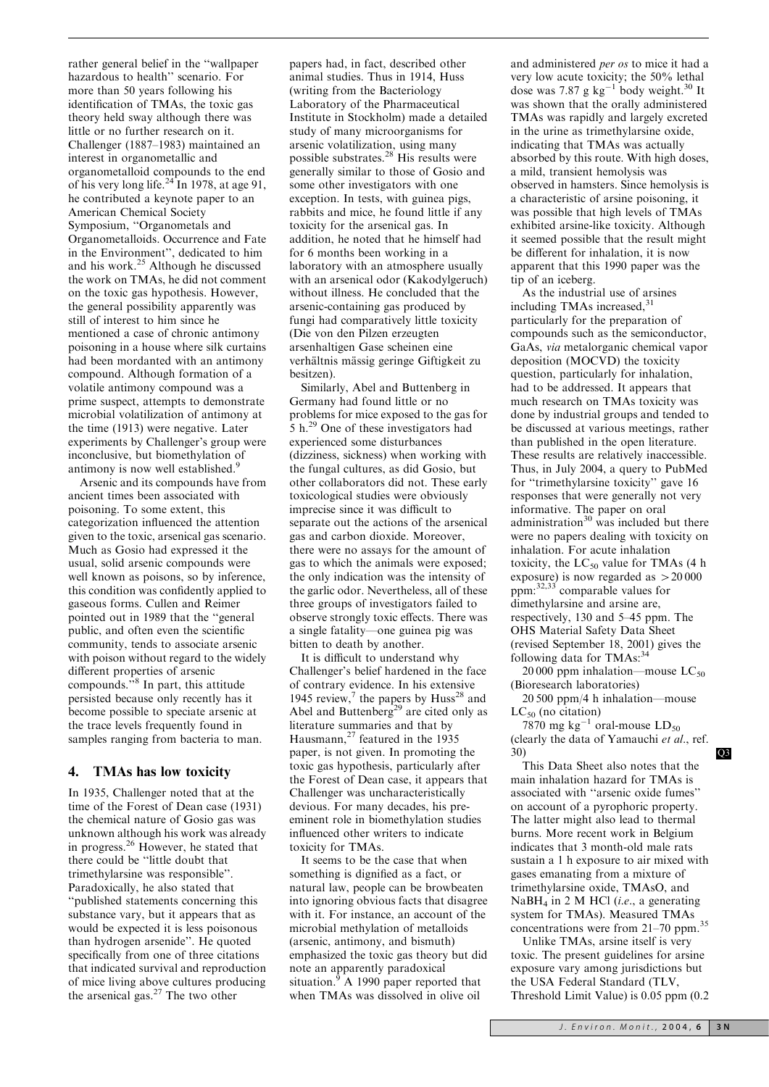rather general belief in the ''wallpaper hazardous to health'' scenario. For more than 50 years following his identification of TMAs, the toxic gas theory held sway although there was little or no further research on it. Challenger (1887–1983) maintained an interest in organometallic and organometalloid compounds to the end of his very long life.<sup>24</sup> In 1978, at age 91, he contributed a keynote paper to an American Chemical Society Symposium, ''Organometals and Organometalloids. Occurrence and Fate in the Environment'', dedicated to him and his work.<sup>25</sup> Although he discussed the work on TMAs, he did not comment on the toxic gas hypothesis. However, the general possibility apparently was still of interest to him since he mentioned a case of chronic antimony poisoning in a house where silk curtains had been mordanted with an antimony compound. Although formation of a volatile antimony compound was a prime suspect, attempts to demonstrate microbial volatilization of antimony at the time (1913) were negative. Later experiments by Challenger's group were inconclusive, but biomethylation of antimony is now well established.<sup>9</sup>

Arsenic and its compounds have from ancient times been associated with poisoning. To some extent, this categorization influenced the attention given to the toxic, arsenical gas scenario. Much as Gosio had expressed it the usual, solid arsenic compounds were well known as poisons, so by inference, this condition was confidently applied to gaseous forms. Cullen and Reimer pointed out in 1989 that the ''general public, and often even the scientific community, tends to associate arsenic with poison without regard to the widely different properties of arsenic compounds."<sup>8</sup> In part, this attitude persisted because only recently has it become possible to speciate arsenic at the trace levels frequently found in samples ranging from bacteria to man.

#### 4. TMAs has low toxicity

In 1935, Challenger noted that at the time of the Forest of Dean case (1931) the chemical nature of Gosio gas was unknown although his work was already in progress.<sup>26</sup> However, he stated that there could be ''little doubt that trimethylarsine was responsible''. Paradoxically, he also stated that ''published statements concerning this substance vary, but it appears that as would be expected it is less poisonous than hydrogen arsenide''. He quoted specifically from one of three citations that indicated survival and reproduction of mice living above cultures producing the arsenical gas.<sup>27</sup> The two other

papers had, in fact, described other animal studies. Thus in 1914, Huss (writing from the Bacteriology Laboratory of the Pharmaceutical Institute in Stockholm) made a detailed study of many microorganisms for arsenic volatilization, using many possible substrates.<sup>28</sup> His results were generally similar to those of Gosio and some other investigators with one exception. In tests, with guinea pigs, rabbits and mice, he found little if any toxicity for the arsenical gas. In addition, he noted that he himself had for 6 months been working in a laboratory with an atmosphere usually with an arsenical odor (Kakodylgeruch) without illness. He concluded that the arsenic-containing gas produced by fungi had comparatively little toxicity (Die von den Pilzen erzeugten arsenhaltigen Gase scheinen eine verhältnis mässig geringe Giftigkeit zu besitzen).

Similarly, Abel and Buttenberg in Germany had found little or no problems for mice exposed to the gas for 5 h.<sup>29</sup> One of these investigators had experienced some disturbances (dizziness, sickness) when working with the fungal cultures, as did Gosio, but other collaborators did not. These early toxicological studies were obviously imprecise since it was difficult to separate out the actions of the arsenical gas and carbon dioxide. Moreover, there were no assays for the amount of gas to which the animals were exposed; the only indication was the intensity of the garlic odor. Nevertheless, all of these three groups of investigators failed to observe strongly toxic effects. There was a single fatality—one guinea pig was bitten to death by another.

It is difficult to understand why Challenger's belief hardened in the face of contrary evidence. In his extensive 1945 review,<sup>7</sup> the papers by Huss<sup>28</sup> and Abel and Buttenberg<sup>29</sup> are cited only as literature summaries and that by Hausmann, $^{27}$  featured in the 1935 paper, is not given. In promoting the toxic gas hypothesis, particularly after the Forest of Dean case, it appears that Challenger was uncharacteristically devious. For many decades, his preeminent role in biomethylation studies influenced other writers to indicate toxicity for TMAs.

It seems to be the case that when something is dignified as a fact, or natural law, people can be browbeaten into ignoring obvious facts that disagree with it. For instance, an account of the microbial methylation of metalloids (arsenic, antimony, and bismuth) emphasized the toxic gas theory but did note an apparently paradoxical situation.<sup>9</sup> A 1990 paper reported that when TMAs was dissolved in olive oil

and administered per os to mice it had a very low acute toxicity; the 50% lethal dose was 7.87 g  $kg^{-1}$  body weight.<sup>30</sup> It was shown that the orally administered TMAs was rapidly and largely excreted in the urine as trimethylarsine oxide, indicating that TMAs was actually absorbed by this route. With high doses, a mild, transient hemolysis was observed in hamsters. Since hemolysis is a characteristic of arsine poisoning, it was possible that high levels of TMAs exhibited arsine-like toxicity. Although it seemed possible that the result might be different for inhalation, it is now apparent that this 1990 paper was the tip of an iceberg.

As the industrial use of arsines including TMAs increased, $31$ particularly for the preparation of compounds such as the semiconductor, GaAs, via metalorganic chemical vapor deposition (MOCVD) the toxicity question, particularly for inhalation, had to be addressed. It appears that much research on TMAs toxicity was done by industrial groups and tended to be discussed at various meetings, rather than published in the open literature. These results are relatively inaccessible. Thus, in July 2004, a query to PubMed for ''trimethylarsine toxicity'' gave 16 responses that were generally not very informative. The paper on oral administration $30$  was included but there were no papers dealing with toxicity on inhalation. For acute inhalation toxicity, the  $LC_{50}$  value for TMAs (4 h exposure) is now regarded as  $> 20000$  $ppm:$ <sup>32,33</sup> comparable values for dimethylarsine and arsine are, respectively, 130 and 5–45 ppm. The OHS Material Safety Data Sheet (revised September 18, 2001) gives the following data for TMAs:<sup>34</sup>

20 000 ppm inhalation—mouse  $LC_{50}$ (Bioresearch laboratories)

20 500 ppm/4 h inhalation—mouse  $LC_{50}$  (no citation)

7870 mg  $kg^{-1}$  oral-mouse  $LD_{50}$ (clearly the data of Yamauchi et al., ref. 30) Q3

This Data Sheet also notes that the main inhalation hazard for TMAs is associated with ''arsenic oxide fumes'' on account of a pyrophoric property. The latter might also lead to thermal burns. More recent work in Belgium indicates that 3 month-old male rats sustain a 1 h exposure to air mixed with gases emanating from a mixture of trimethylarsine oxide, TMAsO, and  $NaBH<sub>4</sub>$  in 2 M HCl (*i.e.*, a generating system for TMAs). Measured TMAs concentrations were from 21–70 ppm.<sup>35</sup>

Unlike TMAs, arsine itself is very toxic. The present guidelines for arsine exposure vary among jurisdictions but the USA Federal Standard (TLV, Threshold Limit Value) is 0.05 ppm (0.2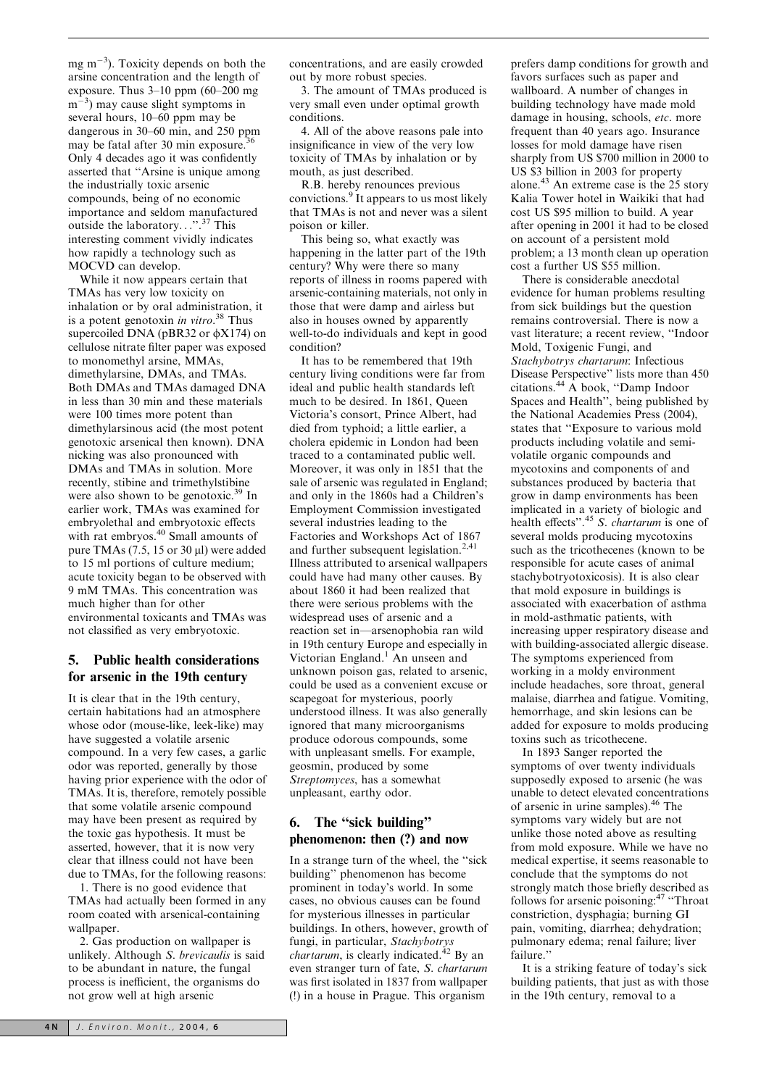mg  $m^{-3}$ ). Toxicity depends on both the arsine concentration and the length of exposure. Thus 3–10 ppm (60–200 mg m<sup>-3</sup>) may cause slight symptoms in several hours, 10–60 ppm may be dangerous in 30–60 min, and 250 ppm may be fatal after 30 min exposure. Only 4 decades ago it was confidently asserted that ''Arsine is unique among the industrially toxic arsenic compounds, being of no economic importance and seldom manufactured outside the laboratory...''.<sup>37</sup> This interesting comment vividly indicates how rapidly a technology such as MOCVD can develop.

While it now appears certain that TMAs has very low toxicity on inhalation or by oral administration, it is a potent genotoxin in vitro.<sup>38</sup> Thus supercoiled DNA (pBR32 or  $\phi$ X174) on cellulose nitrate filter paper was exposed to monomethyl arsine, MMAs, dimethylarsine, DMAs, and TMAs. Both DMAs and TMAs damaged DNA in less than 30 min and these materials were 100 times more potent than dimethylarsinous acid (the most potent genotoxic arsenical then known). DNA nicking was also pronounced with DMAs and TMAs in solution. More recently, stibine and trimethylstibine were also shown to be genotoxic.<sup>39</sup> In earlier work, TMAs was examined for embryolethal and embryotoxic effects with rat embryos.<sup>40</sup> Small amounts of pure TMAs  $(7.5, 15 \text{ or } 30 \text{ µl})$  were added to 15 ml portions of culture medium; acute toxicity began to be observed with 9 mM TMAs. This concentration was much higher than for other environmental toxicants and TMAs was not classified as very embryotoxic.

#### 5. Public health considerations for arsenic in the 19th century

It is clear that in the 19th century, certain habitations had an atmosphere whose odor (mouse-like, leek-like) may have suggested a volatile arsenic compound. In a very few cases, a garlic odor was reported, generally by those having prior experience with the odor of TMAs. It is, therefore, remotely possible that some volatile arsenic compound may have been present as required by the toxic gas hypothesis. It must be asserted, however, that it is now very clear that illness could not have been due to TMAs, for the following reasons:

1. There is no good evidence that TMAs had actually been formed in any room coated with arsenical-containing wallpaper.

2. Gas production on wallpaper is unlikely. Although S. brevicaulis is said to be abundant in nature, the fungal process is inefficient, the organisms do not grow well at high arsenic

concentrations, and are easily crowded out by more robust species.

3. The amount of TMAs produced is very small even under optimal growth conditions.

4. All of the above reasons pale into insignificance in view of the very low toxicity of TMAs by inhalation or by mouth, as just described.

R.B. hereby renounces previous convictions.<sup>9</sup> It appears to us most likely that TMAs is not and never was a silent poison or killer.

This being so, what exactly was happening in the latter part of the 19th century? Why were there so many reports of illness in rooms papered with arsenic-containing materials, not only in those that were damp and airless but also in houses owned by apparently well-to-do individuals and kept in good condition?

It has to be remembered that 19th century living conditions were far from ideal and public health standards left much to be desired. In 1861, Queen Victoria's consort, Prince Albert, had died from typhoid; a little earlier, a cholera epidemic in London had been traced to a contaminated public well. Moreover, it was only in 1851 that the sale of arsenic was regulated in England; and only in the 1860s had a Children's Employment Commission investigated several industries leading to the Factories and Workshops Act of 1867 and further subsequent legislation.2,41 Illness attributed to arsenical wallpapers could have had many other causes. By about 1860 it had been realized that there were serious problems with the widespread uses of arsenic and a reaction set in—arsenophobia ran wild in 19th century Europe and especially in Victorian England.<sup>1</sup> An unseen and unknown poison gas, related to arsenic, could be used as a convenient excuse or scapegoat for mysterious, poorly understood illness. It was also generally ignored that many microorganisms produce odorous compounds, some with unpleasant smells. For example, geosmin, produced by some Streptomyces, has a somewhat unpleasant, earthy odor.

### 6. The ''sick building'' phenomenon: then (?) and now

In a strange turn of the wheel, the ''sick building'' phenomenon has become prominent in today's world. In some cases, no obvious causes can be found for mysterious illnesses in particular buildings. In others, however, growth of fungi, in particular, Stachybotrys *chartarum*, is clearly indicated.<sup>42</sup> By an even stranger turn of fate, S. chartarum was first isolated in 1837 from wallpaper (!) in a house in Prague. This organism

prefers damp conditions for growth and favors surfaces such as paper and wallboard. A number of changes in building technology have made mold damage in housing, schools, etc. more frequent than 40 years ago. Insurance losses for mold damage have risen sharply from US \$700 million in 2000 to US \$3 billion in 2003 for property alone.<sup>43</sup> An extreme case is the  $25$  story Kalia Tower hotel in Waikiki that had cost US \$95 million to build. A year after opening in 2001 it had to be closed on account of a persistent mold problem; a 13 month clean up operation cost a further US \$55 million.

There is considerable anecdotal evidence for human problems resulting from sick buildings but the question remains controversial. There is now a vast literature; a recent review, ''Indoor Mold, Toxigenic Fungi, and Stachybotrys chartarum: Infectious Disease Perspective'' lists more than 450 citations.<sup>44</sup> A book, ''Damp Indoor Spaces and Health'', being published by the National Academies Press (2004), states that ''Exposure to various mold products including volatile and semivolatile organic compounds and mycotoxins and components of and substances produced by bacteria that grow in damp environments has been implicated in a variety of biologic and health effects".<sup>45</sup> S. chartarum is one of several molds producing mycotoxins such as the tricothecenes (known to be responsible for acute cases of animal stachybotryotoxicosis). It is also clear that mold exposure in buildings is associated with exacerbation of asthma in mold-asthmatic patients, with increasing upper respiratory disease and with building-associated allergic disease. The symptoms experienced from working in a moldy environment include headaches, sore throat, general malaise, diarrhea and fatigue. Vomiting, hemorrhage, and skin lesions can be added for exposure to molds producing toxins such as tricothecene.

In 1893 Sanger reported the symptoms of over twenty individuals supposedly exposed to arsenic (he was unable to detect elevated concentrations of arsenic in urine samples).<sup>46</sup> The symptoms vary widely but are not unlike those noted above as resulting from mold exposure. While we have no medical expertise, it seems reasonable to conclude that the symptoms do not strongly match those briefly described as follows for arsenic poisoning:<sup>47</sup> "Throat constriction, dysphagia; burning GI pain, vomiting, diarrhea; dehydration; pulmonary edema; renal failure; liver failure.''

It is a striking feature of today's sick building patients, that just as with those in the 19th century, removal to a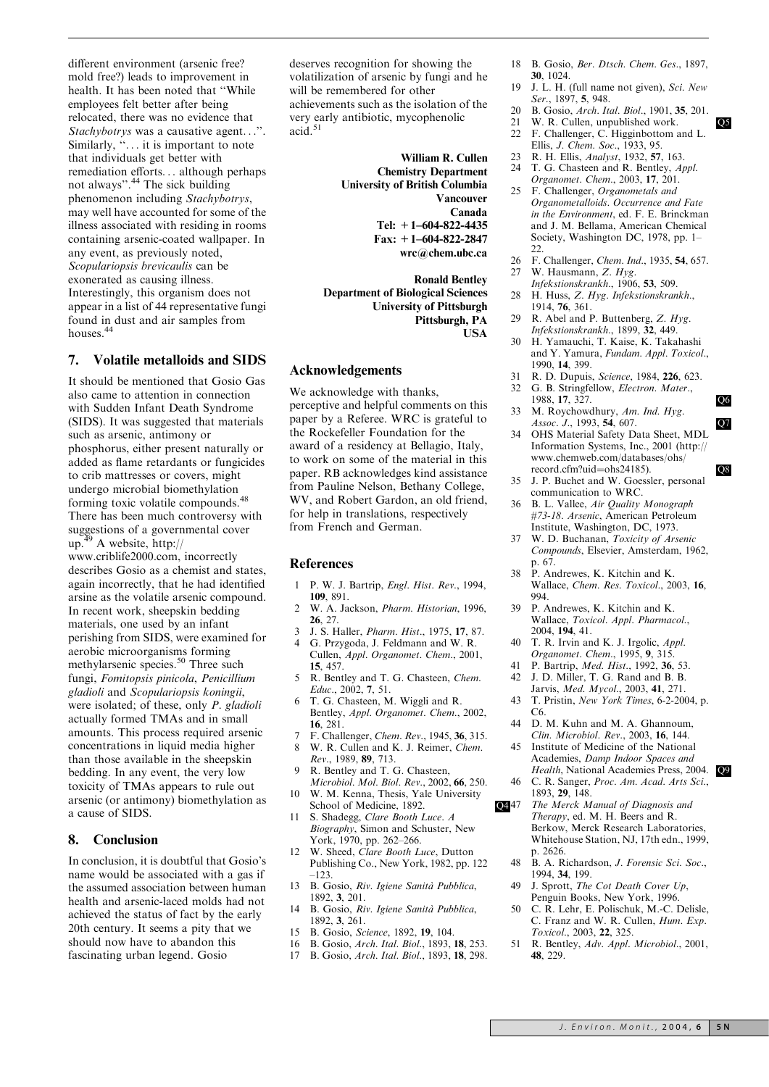different environment (arsenic free? mold free?) leads to improvement in health. It has been noted that ''While employees felt better after being relocated, there was no evidence that Stachybotrys was a causative agent...''. Similarly, "... it is important to note that individuals get better with remediation efforts... although perhaps not always''.<sup>44</sup> The sick building phenomenon including Stachybotrys, may well have accounted for some of the illness associated with residing in rooms containing arsenic-coated wallpaper. In any event, as previously noted, Scopulariopsis brevicaulis can be exonerated as causing illness. Interestingly, this organism does not appear in a list of 44 representative fungi found in dust and air samples from houses.<sup>44</sup>

#### 7. Volatile metalloids and SIDS

It should be mentioned that Gosio Gas also came to attention in connection with Sudden Infant Death Syndrome (SIDS). It was suggested that materials such as arsenic, antimony or phosphorus, either present naturally or added as flame retardants or fungicides to crib mattresses or covers, might undergo microbial biomethylation forming toxic volatile compounds.<sup>48</sup> There has been much controversy with suggestions of a governmental cover up.<sup>49</sup> A website, http:// www.criblife2000.com, incorrectly describes Gosio as a chemist and states, again incorrectly, that he had identified arsine as the volatile arsenic compound. In recent work, sheepskin bedding materials, one used by an infant perishing from SIDS, were examined for aerobic microorganisms forming methylarsenic species.<sup>50</sup> Three such fungi, Fomitopsis pinicola, Penicillium gladioli and Scopulariopsis koningii, were isolated; of these, only P. gladioli actually formed TMAs and in small amounts. This process required arsenic concentrations in liquid media higher than those available in the sheepskin bedding. In any event, the very low toxicity of TMAs appears to rule out arsenic (or antimony) biomethylation as a cause of SIDS.

#### 8. Conclusion

In conclusion, it is doubtful that Gosio's name would be associated with a gas if the assumed association between human health and arsenic-laced molds had not achieved the status of fact by the early 20th century. It seems a pity that we should now have to abandon this fascinating urban legend. Gosio

deserves recognition for showing the volatilization of arsenic by fungi and he will be remembered for other achievements such as the isolation of the very early antibiotic, mycophenolic acid.

> William R. Cullen Chemistry Department University of British Columbia Vancouver Canada Tel: +1–604-822-4435 Fax: +1–604-822-2847 wrc@chem.ubc.ca

Ronald Bentley Department of Biological Sciences University of Pittsburgh Pittsburgh, PA USA

#### Acknowledgements

We acknowledge with thanks, perceptive and helpful comments on this paper by a Referee. WRC is grateful to the Rockefeller Foundation for the award of a residency at Bellagio, Italy, to work on some of the material in this paper. RB acknowledges kind assistance from Pauline Nelson, Bethany College, WV, and Robert Gardon, an old friend, for help in translations, respectively from French and German.

#### References

- 1 P. W. J. Bartrip, Engl. Hist. Rev., 1994, 109, 891.
- 2 W. A. Jackson, Pharm. Historian, 1996, 26, 27.
- 3 J. S. Haller, Pharm. Hist., 1975, 17, 87.
- 4 G. Przygoda, J. Feldmann and W. R. Cullen, Appl. Organomet. Chem., 2001, 15, 457.
- 5 R. Bentley and T. G. Chasteen, Chem. Educ., 2002, 7, 51.
- 6 T. G. Chasteen, M. Wiggli and R. Bentley, Appl. Organomet. Chem., 2002, 16, 281.
- 7 F. Challenger, Chem. Rev., 1945, 36, 315.
- 8 W. R. Cullen and K. J. Reimer, Chem.
- Rev., 1989, 89, 713. 9 R. Bentley and T. G. Chasteen, Microbiol. Mol. Biol. Rev., 2002, 66, 250.
- 10 W. M. Kenna, Thesis, Yale University
- School of Medicine, 1892. **Q447** 11 S. Shadegg, Clare Booth Luce. A Biography, Simon and Schuster, New York, 1970, pp. 262–266.
- W. Sheed, Clare Booth Luce, Dutton Publishing Co., New York, 1982, pp. 122
- –123. 13 B. Gosio, Riv. Igiene Sanità Pubblica, 1892, 3, 201.
- 14 B. Gosio, Riv. Igiene Sanità Pubblica, 1892, 3, 261.
- 15 B. Gosio, Science, 1892, 19, 104.
- 16 B. Gosio, Arch. Ital. Biol., 1893, 18, 253.
- 17 B. Gosio, Arch. Ital. Biol., 1893, 18, 298.
- 18 B. Gosio, Ber. Dtsch. Chem. Ges., 1897, 30, 1024.
- 19 J. L. H. (full name not given), Sci. New Ser., 1897, 5, 948.
- 20 B. Gosio, *Arch. Ital. Biol.*, 1901, 35, 201.<br>21 W. R. Cullen, unpublished work.
- 21 W. R. Cullen, unpublished work.  $Q5$ <br>22 F. Challenger, C. Higginbottom and L.
- F. Challenger, C. Higginbottom and L. Ellis, J. Chem. Soc., 1933, 95.
- 23 R. H. Ellis, Analyst, 1932, 57, 163.
- 24 T. G. Chasteen and R. Bentley, Appl.
- Organomet. Chem., 2003, 17, 201. 25 F. Challenger, Organometals and Organometalloids. Occurrence and Fate
- in the Environment, ed. F. E. Brinckman and J. M. Bellama, American Chemical Society, Washington DC, 1978, pp. 1– 22.
- 26 F. Challenger, Chem. Ind., 1935, 54, 657.
- 27 W. Hausmann, Z. Hyg.
- Infekstionskrankh., 1906, 53, 509. 28 H. Huss, Z. Hyg. Infekstionskrankh.,
- 1914, 76, 361. 29 R. Abel and P. Buttenberg, Z. Hyg. Infekstionskrankh., 1899, 32, 449.
- 30 H. Yamauchi, T. Kaise, K. Takahashi and Y. Yamura, Fundam. Appl. Toxicol., 1990, 14, 399.
- 31 R. D. Dupuis, *Science*, 1984, **226**, 623.<br>32 G. B. Stringfellow. *Electron. Mater.*.
- G. B. Stringfellow, Electron. Mater., 1988, 17, 327. Q6
- 33 M. Roychowdhury, Am. Ind. Hyg. Assoc. J., 1993, 54, 607.
- 34 OHS Material Safety Data Sheet, MDL Information Systems, Inc., 2001 (http:// www.chemweb.com/databases/ohs/ record.cfm?uid=ohs24185). Q8
- 35 J. P. Buchet and W. Goessler, personal communication to WRC.
- 36 B. L. Vallee, Air Quality Monograph #73-18. Arsenic, American Petroleum Institute, Washington, DC, 1973.
- 37 W. D. Buchanan, Toxicity of Arsenic Compounds, Elsevier, Amsterdam, 1962, p. 67.
- 38 P. Andrewes, K. Kitchin and K. Wallace, Chem. Res. Toxicol., 2003, 16, 994.
- 39 P. Andrewes, K. Kitchin and K. Wallace, Toxicol. Appl. Pharmacol., 2004, 194, 41.
- 40 T. R. Irvin and K. J. Irgolic, Appl. Organomet. Chem., 1995, 9, 315.
- 41 P. Bartrip, *Med. Hist.*, 1992, **36**, 53.<br>42 J. D. Miller, T. G. Rand and B. B.
- J. D. Miller, T. G. Rand and B. B. Jarvis, Med. Mycol., 2003, 41, 271.
- 43 T. Pristin, New York Times, 6-2-2004, p. C6.
- 44 D. M. Kuhn and M. A. Ghannoum, Clin. Microbiol. Rev., 2003, 16, 144.
- 45 Institute of Medicine of the National Academies, Damp Indoor Spaces and Health, National Academies Press, 2004. Q9 46 C. R. Sanger, Proc. Am. Acad. Arts Sci.,
- 1893, 29, 148.
- The Merck Manual of Diagnosis and Therapy, ed. M. H. Beers and R. Berkow, Merck Research Laboratories, Whitehouse Station, NJ, 17th edn., 1999, p. 2626.
- 48 B. A. Richardson, J. Forensic Sci. Soc., 1994, 34, 199.
- 49 J. Sprott, The Cot Death Cover Up, Penguin Books, New York, 1996.
- 50 C. R. Lehr, E. Polischuk, M.-C. Delisle, C. Franz and W. R. Cullen, Hum. Exp. Toxicol., 2003, 22, 325.
- 51 R. Bentley, Adv. Appl. Microbiol., 2001, 48, 229.